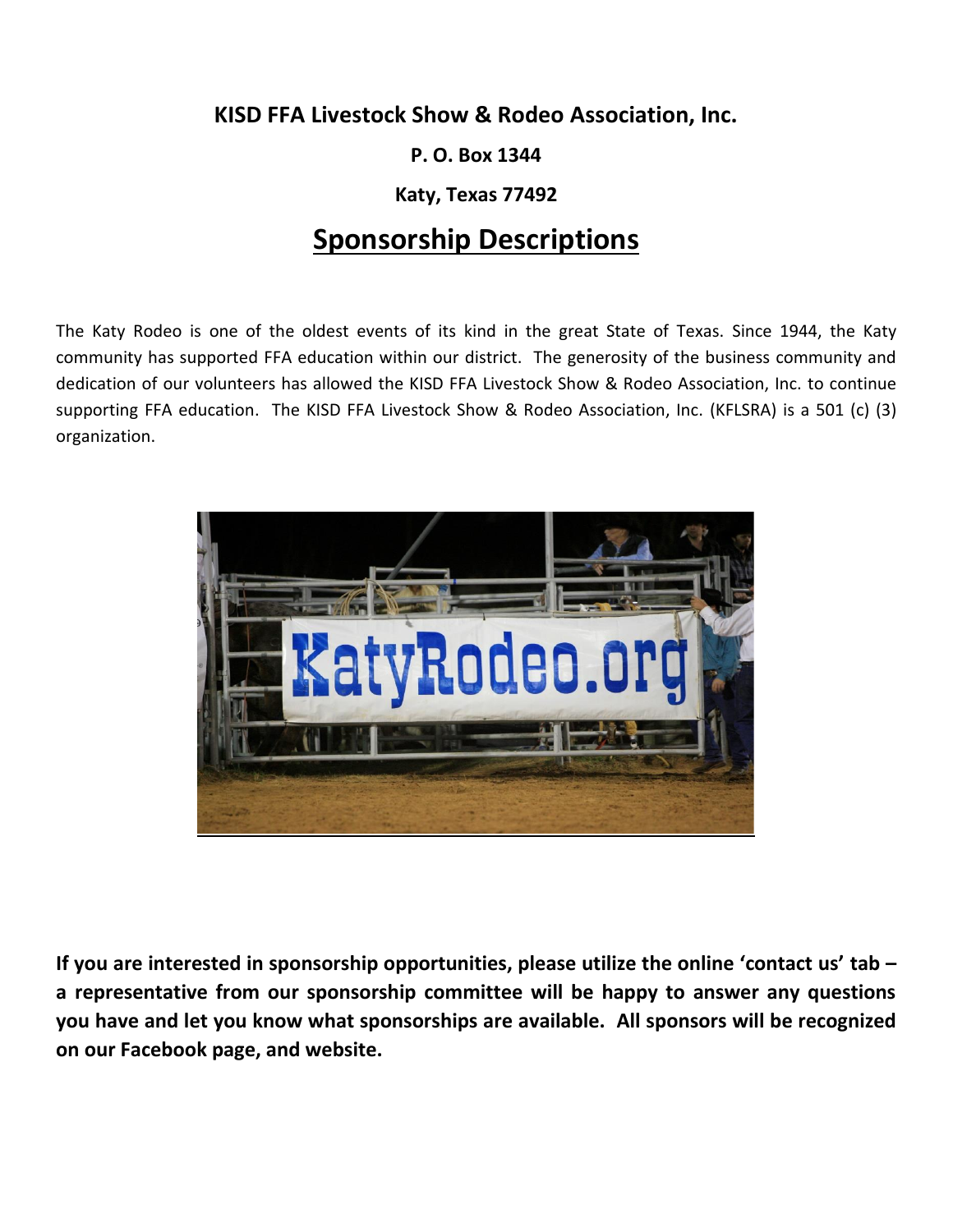### **KISD FFA Livestock Show & Rodeo Association, Inc.**

**P. O. Box 1344**

**Katy, Texas 77492**

# **Sponsorship Descriptions**

The Katy Rodeo is one of the oldest events of its kind in the great State of Texas. Since 1944, the Katy community has supported FFA education within our district. The generosity of the business community and dedication of our volunteers has allowed the KISD FFA Livestock Show & Rodeo Association, Inc. to continue supporting FFA education. The KISD FFA Livestock Show & Rodeo Association, Inc. (KFLSRA) is a 501 (c) (3) organization.



**If you are interested in sponsorship opportunities, please utilize the online 'contact us' tab – a representative from our sponsorship committee will be happy to answer any questions you have and let you know what sponsorships are available. All sponsors will be recognized on our Facebook page, and website.**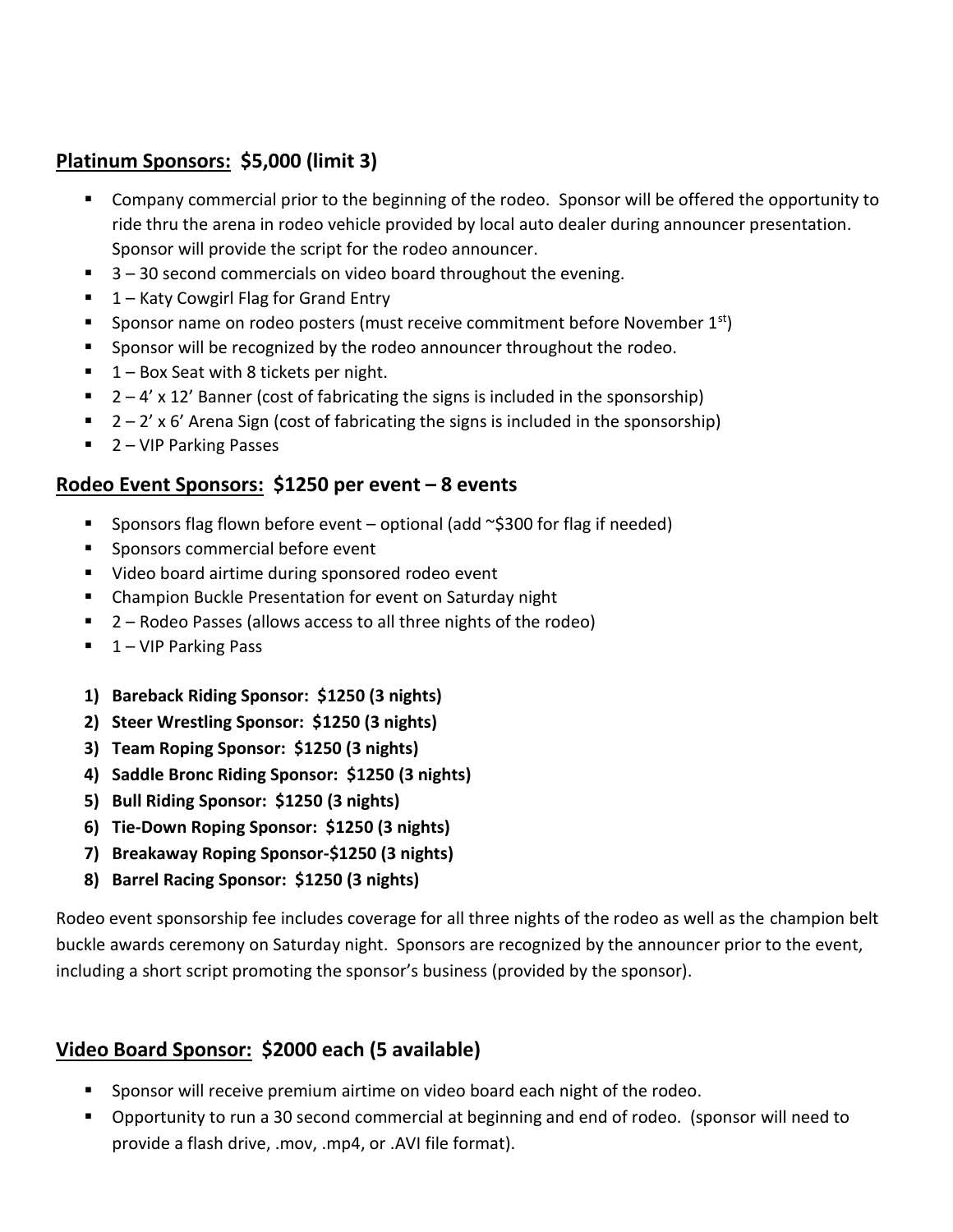### **Platinum Sponsors: \$5,000 (limit 3)**

- Company commercial prior to the beginning of the rodeo. Sponsor will be offered the opportunity to ride thru the arena in rodeo vehicle provided by local auto dealer during announcer presentation. Sponsor will provide the script for the rodeo announcer.
- $\blacksquare$  3 30 second commercials on video board throughout the evening.
- 1 Katy Cowgirl Flag for Grand Entry
- **•** Sponsor name on rodeo posters (must receive commitment before November  $1^{st}$ )
- Sponsor will be recognized by the rodeo announcer throughout the rodeo.
- $\blacksquare$  1 Box Seat with 8 tickets per night.
- $\blacksquare$  2 4' x 12' Banner (cost of fabricating the signs is included in the sponsorship)
- $\blacksquare$  2 2' x 6' Arena Sign (cost of fabricating the signs is included in the sponsorship)
- 2 VIP Parking Passes

#### **Rodeo Event Sponsors: \$1250 per event – 8 events**

- **•** Sponsors flag flown before event optional (add  $\sim$ \$300 for flag if needed)
- Sponsors commercial before event
- Video board airtime during sponsored rodeo event
- Champion Buckle Presentation for event on Saturday night
- $\blacksquare$  2 Rodeo Passes (allows access to all three nights of the rodeo)
- $\blacksquare$  1 VIP Parking Pass
- **1) Bareback Riding Sponsor: \$1250 (3 nights)**
- **2) Steer Wrestling Sponsor: \$1250 (3 nights)**
- **3) Team Roping Sponsor: \$1250 (3 nights)**
- **4) Saddle Bronc Riding Sponsor: \$1250 (3 nights)**
- **5) Bull Riding Sponsor: \$1250 (3 nights)**
- **6) Tie-Down Roping Sponsor: \$1250 (3 nights)**
- **7) Breakaway Roping Sponsor-\$1250 (3 nights)**
- **8) Barrel Racing Sponsor: \$1250 (3 nights)**

Rodeo event sponsorship fee includes coverage for all three nights of the rodeo as well as the champion belt buckle awards ceremony on Saturday night. Sponsors are recognized by the announcer prior to the event, including a short script promoting the sponsor's business (provided by the sponsor).

### **Video Board Sponsor: \$2000 each (5 available)**

- **•** Sponsor will receive premium airtime on video board each night of the rodeo.
- Opportunity to run a 30 second commercial at beginning and end of rodeo. (sponsor will need to provide a flash drive, .mov, .mp4, or .AVI file format).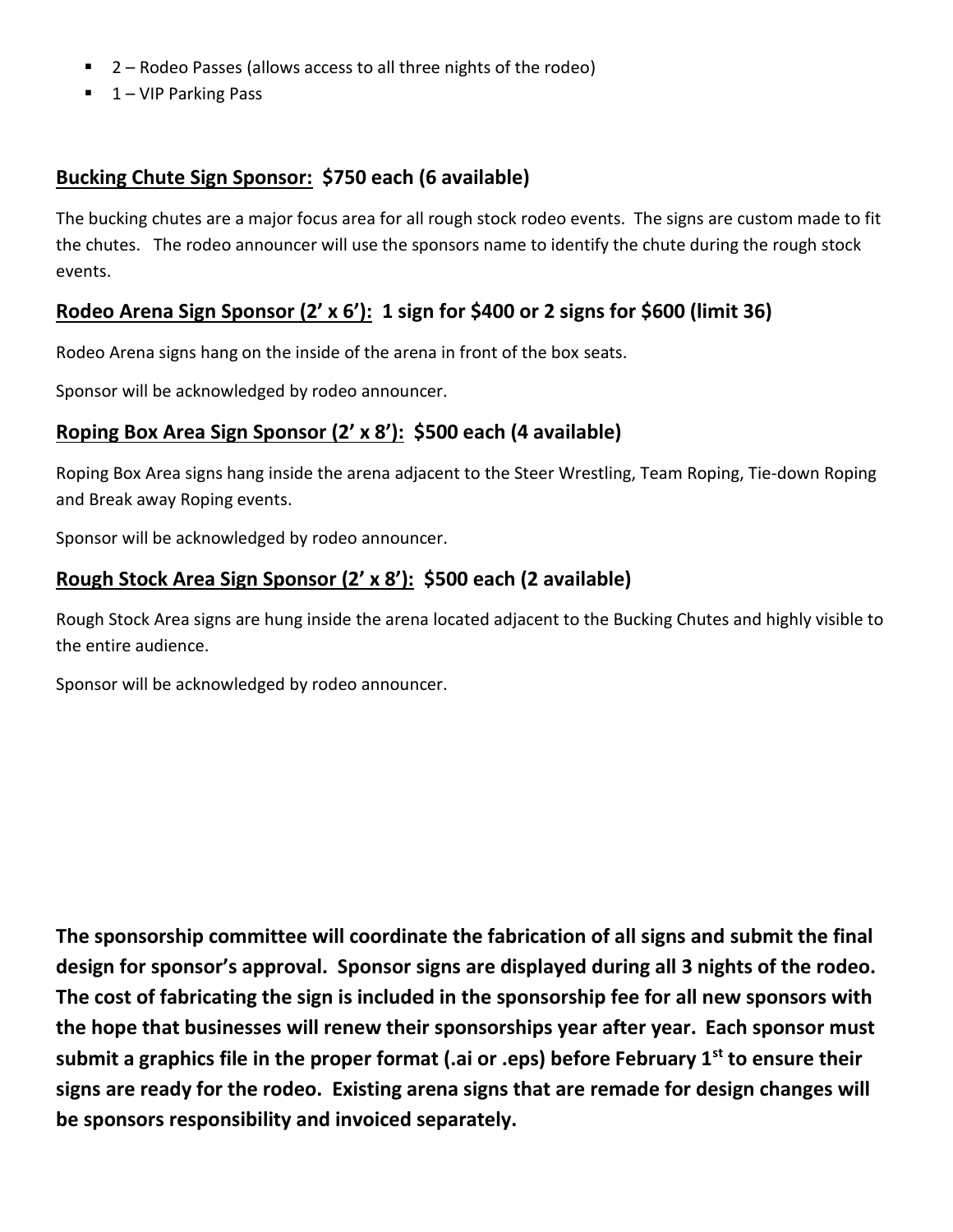- 2 Rodeo Passes (allows access to all three nights of the rodeo)
- 1-VIP Parking Pass

#### **Bucking Chute Sign Sponsor: \$750 each (6 available)**

The bucking chutes are a major focus area for all rough stock rodeo events. The signs are custom made to fit the chutes. The rodeo announcer will use the sponsors name to identify the chute during the rough stock events.

#### **Rodeo Arena Sign Sponsor (2' x 6'): 1 sign for \$400 or 2 signs for \$600 (limit 36)**

Rodeo Arena signs hang on the inside of the arena in front of the box seats.

Sponsor will be acknowledged by rodeo announcer.

#### **Roping Box Area Sign Sponsor (2' x 8'): \$500 each (4 available)**

Roping Box Area signs hang inside the arena adjacent to the Steer Wrestling, Team Roping, Tie-down Roping and Break away Roping events.

Sponsor will be acknowledged by rodeo announcer.

#### **Rough Stock Area Sign Sponsor (2' x 8'): \$500 each (2 available)**

Rough Stock Area signs are hung inside the arena located adjacent to the Bucking Chutes and highly visible to the entire audience.

Sponsor will be acknowledged by rodeo announcer.

**The sponsorship committee will coordinate the fabrication of all signs and submit the final design for sponsor's approval. Sponsor signs are displayed during all 3 nights of the rodeo. The cost of fabricating the sign is included in the sponsorship fee for all new sponsors with the hope that businesses will renew their sponsorships year after year. Each sponsor must submit a graphics file in the proper format (.ai or .eps) before February 1st to ensure their signs are ready for the rodeo. Existing arena signs that are remade for design changes will be sponsors responsibility and invoiced separately.**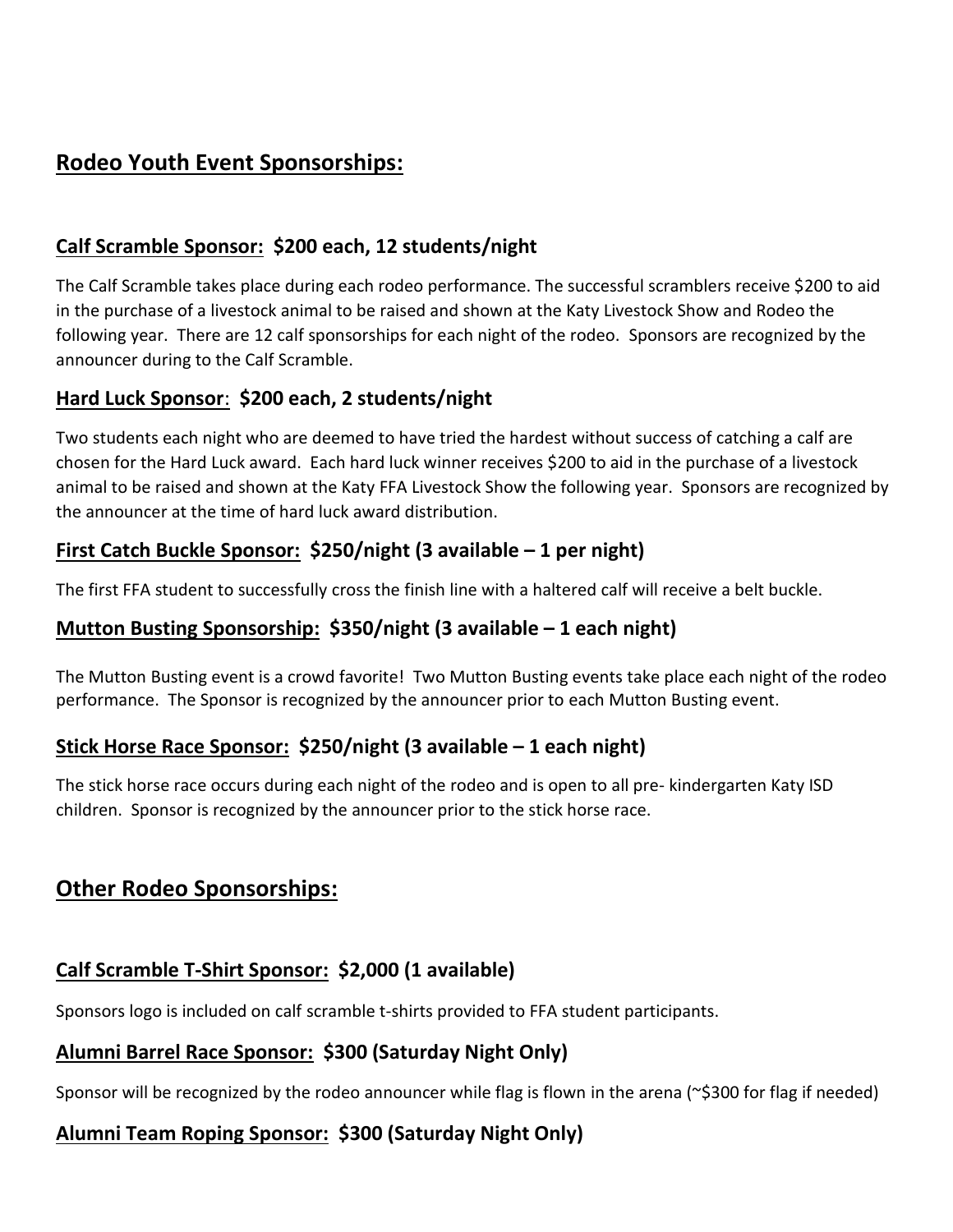# **Rodeo Youth Event Sponsorships:**

### **Calf Scramble Sponsor: \$200 each, 12 students/night**

The Calf Scramble takes place during each rodeo performance. The successful scramblers receive \$200 to aid in the purchase of a livestock animal to be raised and shown at the Katy Livestock Show and Rodeo the following year. There are 12 calf sponsorships for each night of the rodeo. Sponsors are recognized by the announcer during to the Calf Scramble.

#### **Hard Luck Sponsor**: **\$200 each, 2 students/night**

Two students each night who are deemed to have tried the hardest without success of catching a calf are chosen for the Hard Luck award. Each hard luck winner receives \$200 to aid in the purchase of a livestock animal to be raised and shown at the Katy FFA Livestock Show the following year. Sponsors are recognized by the announcer at the time of hard luck award distribution.

#### **First Catch Buckle Sponsor: \$250/night (3 available – 1 per night)**

The first FFA student to successfully cross the finish line with a haltered calf will receive a belt buckle.

#### **Mutton Busting Sponsorship: \$350/night (3 available – 1 each night)**

The Mutton Busting event is a crowd favorite! Two Mutton Busting events take place each night of the rodeo performance. The Sponsor is recognized by the announcer prior to each Mutton Busting event.

#### **Stick Horse Race Sponsor: \$250/night (3 available – 1 each night)**

The stick horse race occurs during each night of the rodeo and is open to all pre- kindergarten Katy ISD children. Sponsor is recognized by the announcer prior to the stick horse race.

## **Other Rodeo Sponsorships:**

### **Calf Scramble T-Shirt Sponsor: \$2,000 (1 available)**

Sponsors logo is included on calf scramble t-shirts provided to FFA student participants.

#### **Alumni Barrel Race Sponsor: \$300 (Saturday Night Only)**

Sponsor will be recognized by the rodeo announcer while flag is flown in the arena (~\$300 for flag if needed)

#### **Alumni Team Roping Sponsor: \$300 (Saturday Night Only)**